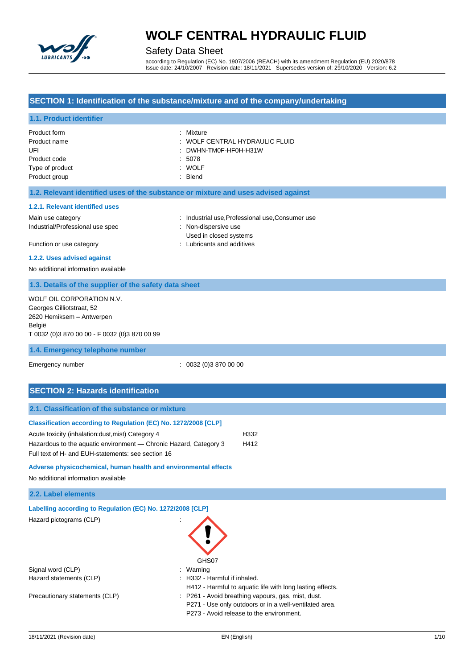

## Safety Data Sheet

according to Regulation (EC) No. 1907/2006 (REACH) with its amendment Regulation (EU) 2020/878 Issue date: 24/10/2007 Revision date: 18/11/2021 Supersedes version of: 29/10/2020 Version: 6.2

## **SECTION 1: Identification of the substance/mixture and of the company/undertaking**

## **1.1. Product identifier**

| Product form    | : Mixture                      |
|-----------------|--------------------------------|
| Product name    | : WOLF CENTRAL HYDRAULIC FLUID |
| UFI             | : DWHN-TM0F-HF0H-H31W          |
| Product code    | : 5078                         |
| Type of product | : WOLF                         |
| Product group   | : Blend                        |

#### **1.2. Relevant identified uses of the substance or mixture and uses advised against**

#### **1.2.1. Relevant identified uses**

Industrial/Professional use spec : Non-dispersive use

Main use category **industrial use, Professional use, Consumer use** category industrial use, Professional use, Consumer use Used in closed systems Function or use category **Exercise 20** Function or use category **in the case of the case of the case of the case of the case of the case of the case of the case of the case of the case of the case of the case of the case o** 

### **1.2.2. Uses advised against**

No additional information available

## **1.3. Details of the supplier of the safety data sheet**

| WOLF OIL CORPORATION N.V.                     |  |
|-----------------------------------------------|--|
| Georges Gilliotstraat, 52                     |  |
| 2620 Hemiksem - Antwerpen                     |  |
| België                                        |  |
| T 0032 (0)3 870 00 00 - F 0032 (0)3 870 00 99 |  |

#### **1.4. Emergency telephone number**

Emergency number : 0032 (0)3 870 00 00

## **SECTION 2: Hazards identification**

| 2.1. Classification of the substance or mixture                                                                         |                              |                                                           |  |
|-------------------------------------------------------------------------------------------------------------------------|------------------------------|-----------------------------------------------------------|--|
| Classification according to Regulation (EC) No. 1272/2008 [CLP]                                                         |                              |                                                           |  |
| Acute toxicity (inhalation: dust, mist) Category 4                                                                      |                              | H332                                                      |  |
| Hazardous to the aquatic environment — Chronic Hazard, Category 3<br>Full text of H- and EUH-statements: see section 16 |                              | H412                                                      |  |
| Adverse physicochemical, human health and environmental effects                                                         |                              |                                                           |  |
| No additional information available                                                                                     |                              |                                                           |  |
| 2.2. Label elements                                                                                                     |                              |                                                           |  |
| Labelling according to Regulation (EC) No. 1272/2008 [CLP]                                                              |                              |                                                           |  |
| Hazard pictograms (CLP)                                                                                                 | GHS07                        |                                                           |  |
| Signal word (CLP)                                                                                                       | Warning                      |                                                           |  |
| Hazard statements (CLP)                                                                                                 | : H332 - Harmful if inhaled. |                                                           |  |
|                                                                                                                         |                              | H412 - Harmful to aquatic life with long lasting effects. |  |

Precautionary statements (CLP) : P261 - Avoid breathing vapours, gas, mist, dust. P271 - Use only outdoors or in a well-ventilated area.

P273 - Avoid release to the environment.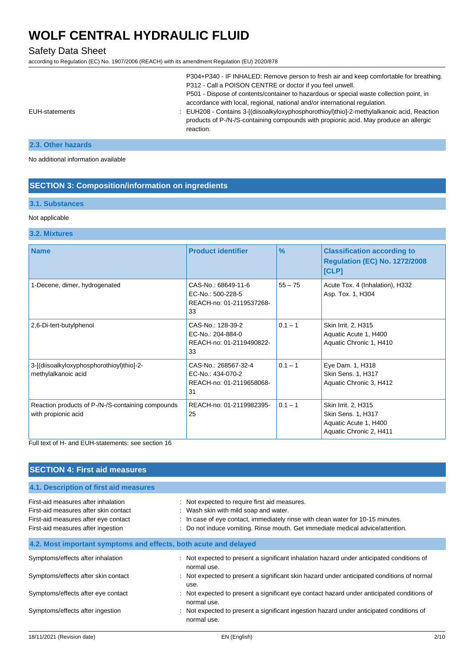# Safety Data Sheet

according to Regulation (EC) No. 1907/2006 (REACH) with its amendment Regulation (EU) 2020/878

| P304+P340 - IF INHALED: Remove person to fresh air and keep comfortable for breathing.                                                                                                           |
|--------------------------------------------------------------------------------------------------------------------------------------------------------------------------------------------------|
| P312 - Call a POISON CENTRE or doctor if you feel unwell.                                                                                                                                        |
| P501 - Dispose of contents/container to hazardous or special waste collection point, in                                                                                                          |
| accordance with local, regional, national and/or international regulation.                                                                                                                       |
| : EUH208 - Contains 3-[(diisoalkyloxyphosphorothioyl)thio]-2-methylalkanoic acid, Reaction<br>products of P-/N-/S-containing compounds with propionic acid. May produce an allergic<br>reaction. |
|                                                                                                                                                                                                  |

## **2.3. Other hazards**

No additional information available

## **SECTION 3: Composition/information on ingredients**

## **3.1. Substances**

#### Not applicable

### **3.2. Mixtures**

| <b>Name</b>                                                              | <b>Product identifier</b>                                                   | $\frac{9}{6}$ | <b>Classification according to</b><br><b>Regulation (EC) No. 1272/2008</b><br>[CLP]           |
|--------------------------------------------------------------------------|-----------------------------------------------------------------------------|---------------|-----------------------------------------------------------------------------------------------|
| 1-Decene, dimer, hydrogenated                                            | CAS-No.: 68649-11-6<br>$FC-No: 500-228-5$<br>REACH-no: 01-2119537268-<br>33 | $55 - 75$     | Acute Tox. 4 (Inhalation), H332<br>Asp. Tox. 1, H304                                          |
| 2,6-Di-tert-butylphenol                                                  | CAS-No.: 128-39-2<br>EC-No.: 204-884-0<br>REACH-no: 01-2119490822-<br>33    | $0.1 - 1$     | Skin Irrit. 2, H315<br>Aquatic Acute 1, H400<br>Aquatic Chronic 1, H410                       |
| 3-[(diisoalkyloxyphosphorothioyl)thio]-2-<br>methylalkanoic acid         | CAS-No.: 268567-32-4<br>EC-No.: 434-070-2<br>REACH-no: 01-2119658068-<br>31 | $0.1 - 1$     | Eye Dam. 1, H318<br>Skin Sens. 1, H317<br>Aquatic Chronic 3, H412                             |
| Reaction products of P-/N-/S-containing compounds<br>with propionic acid | REACH-no: 01-2119982395-<br>25                                              | $0.1 - 1$     | Skin Irrit. 2, H315<br>Skin Sens. 1, H317<br>Aquatic Acute 1, H400<br>Aquatic Chronic 2, H411 |

Full text of H- and EUH-statements: see section 16

| <b>SECTION 4: First aid measures</b>                                                                                                                       |                                                                                                                                                                                                                                                             |  |
|------------------------------------------------------------------------------------------------------------------------------------------------------------|-------------------------------------------------------------------------------------------------------------------------------------------------------------------------------------------------------------------------------------------------------------|--|
| 4.1. Description of first aid measures                                                                                                                     |                                                                                                                                                                                                                                                             |  |
| First-aid measures after inhalation<br>First-aid measures after skin contact<br>First-aid measures after eye contact<br>First-aid measures after ingestion | : Not expected to require first aid measures.<br>: Wash skin with mild soap and water.<br>: In case of eye contact, immediately rinse with clean water for 10-15 minutes.<br>: Do not induce vomiting. Rinse mouth. Get immediate medical advice/attention. |  |
| 4.2. Most important symptoms and effects, both acute and delayed                                                                                           |                                                                                                                                                                                                                                                             |  |
| Symptoms/effects after inhalation                                                                                                                          | : Not expected to present a significant inhalation hazard under anticipated conditions of<br>normal use.                                                                                                                                                    |  |
| Symptoms/effects after skin contact                                                                                                                        | : Not expected to present a significant skin hazard under anticipated conditions of normal<br>use.                                                                                                                                                          |  |
| Symptoms/effects after eye contact                                                                                                                         | : Not expected to present a significant eye contact hazard under anticipated conditions of<br>normal use.                                                                                                                                                   |  |
| Symptoms/effects after ingestion                                                                                                                           | : Not expected to present a significant ingestion hazard under anticipated conditions of<br>normal use.                                                                                                                                                     |  |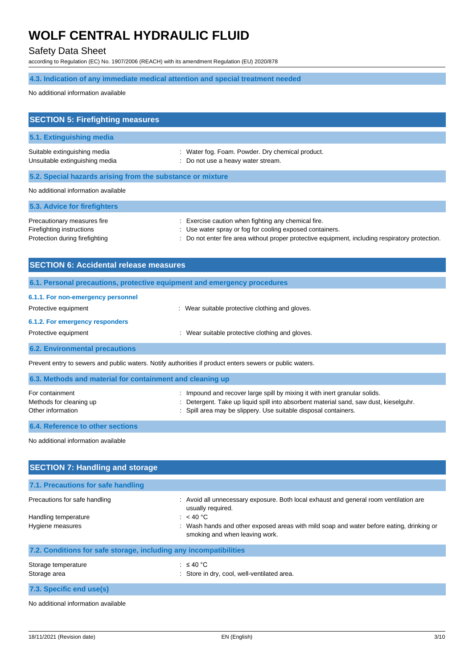# Safety Data Sheet

according to Regulation (EC) No. 1907/2006 (REACH) with its amendment Regulation (EU) 2020/878

# **4.3. Indication of any immediate medical attention and special treatment needed**

No additional information available

| <b>SECTION 5: Firefighting measures</b>                                                    |                                                                                                                                                                                                                    |  |
|--------------------------------------------------------------------------------------------|--------------------------------------------------------------------------------------------------------------------------------------------------------------------------------------------------------------------|--|
| 5.1. Extinguishing media                                                                   |                                                                                                                                                                                                                    |  |
| Suitable extinguishing media<br>Unsuitable extinguishing media                             | : Water fog. Foam. Powder. Dry chemical product.<br>: Do not use a heavy water stream.                                                                                                                             |  |
| 5.2. Special hazards arising from the substance or mixture                                 |                                                                                                                                                                                                                    |  |
| No additional information available                                                        |                                                                                                                                                                                                                    |  |
| 5.3. Advice for firefighters                                                               |                                                                                                                                                                                                                    |  |
| Precautionary measures fire<br>Firefighting instructions<br>Protection during firefighting | : Exercise caution when fighting any chemical fire.<br>: Use water spray or fog for cooling exposed containers.<br>: Do not enter fire area without proper protective equipment, including respiratory protection. |  |

| <b>SECTION 6: Accidental release measures</b>                                                            |                                                 |  |
|----------------------------------------------------------------------------------------------------------|-------------------------------------------------|--|
| 6.1. Personal precautions, protective equipment and emergency procedures                                 |                                                 |  |
| 6.1.1. For non-emergency personnel<br>Protective equipment                                               | : Wear suitable protective clothing and gloves. |  |
| 6.1.2. For emergency responders<br>Protective equipment                                                  | : Wear suitable protective clothing and gloves. |  |
| <b>6.2. Environmental precautions</b>                                                                    |                                                 |  |
| Prevent entry to sewers and public waters. Notify authorities if product enters sewers or public waters. |                                                 |  |
| 6.3. Methods and material for containment and cleaning up                                                |                                                 |  |

| For containment                              | : Impound and recover large spill by mixing it with inert granular solids.                                                                               |
|----------------------------------------------|----------------------------------------------------------------------------------------------------------------------------------------------------------|
| Methods for cleaning up<br>Other information | : Detergent. Take up liquid spill into absorbent material sand, saw dust, kieselguhr.<br>: Spill area may be slippery. Use suitable disposal containers. |
|                                              |                                                                                                                                                          |

**6.4. Reference to other sections**

No additional information available

| <b>SECTION 7: Handling and storage</b>                            |                                                                                                                            |  |
|-------------------------------------------------------------------|----------------------------------------------------------------------------------------------------------------------------|--|
| 7.1. Precautions for safe handling                                |                                                                                                                            |  |
| Precautions for safe handling<br>Handling temperature             | : Avoid all unnecessary exposure. Both local exhaust and general room ventilation are<br>usually required.<br>: $<$ 40 °C  |  |
| Hygiene measures                                                  | : Wash hands and other exposed areas with mild soap and water before eating, drinking or<br>smoking and when leaving work. |  |
| 7.2. Conditions for safe storage, including any incompatibilities |                                                                                                                            |  |
| Storage temperature<br>Storage area                               | : $\leq 40$ °C<br>Store in dry, cool, well-ventilated area.                                                                |  |
| 7.3. Specific end use(s)                                          |                                                                                                                            |  |

No additional information available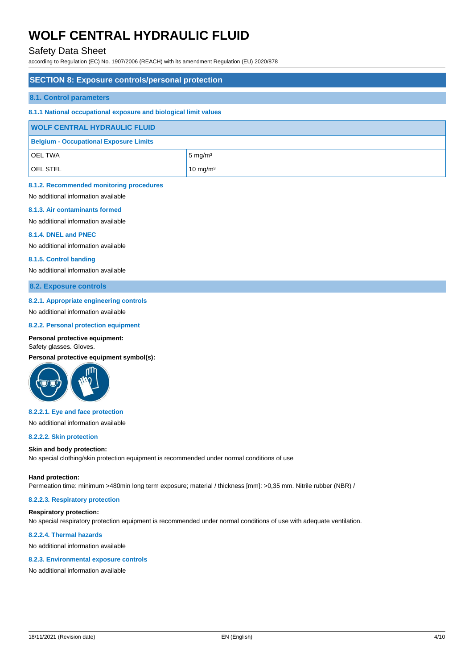## Safety Data Sheet

according to Regulation (EC) No. 1907/2006 (REACH) with its amendment Regulation (EU) 2020/878

### **SECTION 8: Exposure controls/personal protection**

#### **8.1. Control parameters**

### **8.1.1 National occupational exposure and biological limit values**

| <b>WOLF CENTRAL HYDRAULIC FLUID</b>           |                     |
|-----------------------------------------------|---------------------|
| <b>Belgium - Occupational Exposure Limits</b> |                     |
| <b>OEL TWA</b>                                | $5 \text{ mg/m}^3$  |
| <b>OEL STEL</b>                               | $10 \text{ mg/m}^3$ |

#### **8.1.2. Recommended monitoring procedures**

No additional information available

#### **8.1.3. Air contaminants formed**

No additional information available

#### **8.1.4. DNEL and PNEC**

No additional information available

#### **8.1.5. Control banding**

No additional information available

**8.2. Exposure controls**

### **8.2.1. Appropriate engineering controls**

No additional information available

#### **8.2.2. Personal protection equipment**

#### **Personal protective equipment:**

Safety glasses. Gloves.

**Personal protective equipment symbol(s):**



#### **8.2.2.1. Eye and face protection**

No additional information available

#### **8.2.2.2. Skin protection**

#### **Skin and body protection:**

No special clothing/skin protection equipment is recommended under normal conditions of use

#### **Hand protection:**

Permeation time: minimum >480min long term exposure; material / thickness [mm]: >0,35 mm. Nitrile rubber (NBR) /

## **8.2.2.3. Respiratory protection**

#### **Respiratory protection:**

No special respiratory protection equipment is recommended under normal conditions of use with adequate ventilation.

### **8.2.2.4. Thermal hazards**

No additional information available

### **8.2.3. Environmental exposure controls**

No additional information available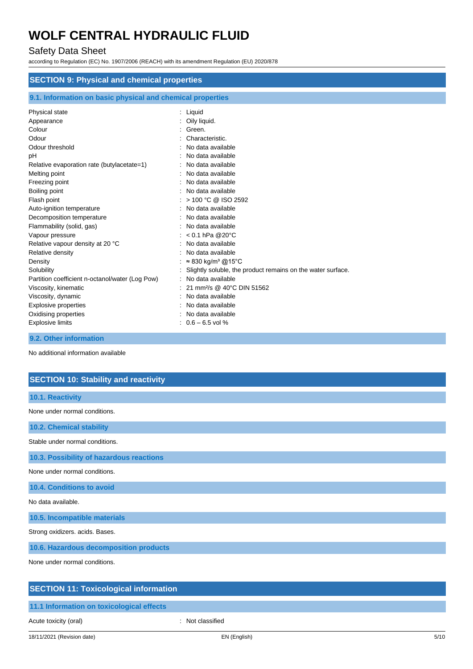# Safety Data Sheet

according to Regulation (EC) No. 1907/2006 (REACH) with its amendment Regulation (EU) 2020/878

| <b>SECTION 9: Physical and chemical properties</b>                                                                                                                                                                                                                                  |                                                                                                                                                                                                                                                                                                   |  |
|-------------------------------------------------------------------------------------------------------------------------------------------------------------------------------------------------------------------------------------------------------------------------------------|---------------------------------------------------------------------------------------------------------------------------------------------------------------------------------------------------------------------------------------------------------------------------------------------------|--|
|                                                                                                                                                                                                                                                                                     |                                                                                                                                                                                                                                                                                                   |  |
| 9.1. Information on basic physical and chemical properties                                                                                                                                                                                                                          |                                                                                                                                                                                                                                                                                                   |  |
| Physical state<br>Appearance<br>Colour<br>Odour<br>Odour threshold<br>рH<br>Relative evaporation rate (butylacetate=1)<br>Melting point<br>Freezing point<br>Boiling point<br>Flash point<br>Auto-ignition temperature<br>Decomposition temperature<br>Flammability (solid, gas)    | : Liquid<br>Oily liquid.<br>Green.<br>Characteristic.<br>No data available<br>No data available<br>No data available<br>No data available<br>No data available<br>No data available<br>> 100 °C @ ISO 2592<br>No data available<br>No data available<br>No data available<br>$< 0.1$ hPa @20°C    |  |
| Vapour pressure<br>Relative vapour density at 20 °C<br>Relative density<br>Density<br>Solubility<br>Partition coefficient n-octanol/water (Log Pow)<br>Viscosity, kinematic<br>Viscosity, dynamic<br><b>Explosive properties</b><br>Oxidising properties<br><b>Explosive limits</b> | No data available<br>No data available<br>$\approx$ 830 kg/m <sup>3</sup> @15°C<br>Slightly soluble, the product remains on the water surface.<br>No data available<br>21 mm <sup>2</sup> /s @ 40°C DIN 51562<br>No data available<br>No data available<br>No data available<br>$0.6 - 6.5$ vol % |  |

**9.2. Other information**

No additional information available

# **SECTION 10: Stability and reactivity**

| 10.1. Reactivity                         |
|------------------------------------------|
| None under normal conditions.            |
| 10.2. Chemical stability                 |
| Stable under normal conditions.          |
| 10.3. Possibility of hazardous reactions |
| None under normal conditions.            |
| 10.4. Conditions to avoid                |
| No data available.                       |
| 10.5. Incompatible materials             |
| Strong oxidizers. acids. Bases.          |
| 10.6. Hazardous decomposition products   |
| None under normal conditions.            |
|                                          |

# **SECTION 11: Toxicological information**

**11.1 Information on toxicological effects**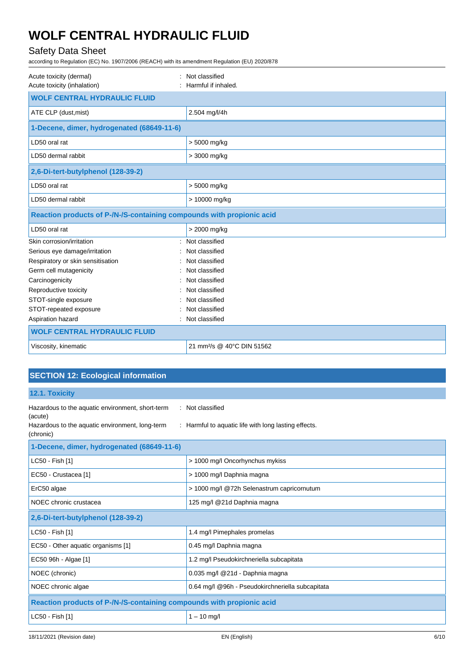# Safety Data Sheet

according to Regulation (EC) No. 1907/2006 (REACH) with its amendment Regulation (EU) 2020/878

| Acute toxicity (dermal)<br>Acute toxicity (inhalation)                | Not classified<br>Harmful if inhaled.  |  |  |
|-----------------------------------------------------------------------|----------------------------------------|--|--|
| <b>WOLF CENTRAL HYDRAULIC FLUID</b>                                   |                                        |  |  |
| ATE CLP (dust, mist)                                                  | 2.504 mg/l/4h                          |  |  |
| 1-Decene, dimer, hydrogenated (68649-11-6)                            |                                        |  |  |
| LD50 oral rat                                                         | > 5000 mg/kg                           |  |  |
| LD50 dermal rabbit                                                    | > 3000 mg/kg                           |  |  |
| 2,6-Di-tert-butylphenol (128-39-2)                                    |                                        |  |  |
| LD50 oral rat                                                         | > 5000 mg/kg                           |  |  |
| LD50 dermal rabbit                                                    | > 10000 mg/kg                          |  |  |
| Reaction products of P-/N-/S-containing compounds with propionic acid |                                        |  |  |
| LD50 oral rat                                                         | > 2000 mg/kg                           |  |  |
| Skin corrosion/irritation                                             | Not classified                         |  |  |
| Serious eye damage/irritation                                         | Not classified                         |  |  |
| Respiratory or skin sensitisation                                     | Not classified                         |  |  |
| Germ cell mutagenicity                                                | Not classified                         |  |  |
| Carcinogenicity                                                       | Not classified                         |  |  |
| Reproductive toxicity                                                 | Not classified                         |  |  |
| STOT-single exposure                                                  | Not classified                         |  |  |
| STOT-repeated exposure                                                | Not classified                         |  |  |
| Aspiration hazard<br>۰.                                               | Not classified                         |  |  |
| <b>WOLF CENTRAL HYDRAULIC FLUID</b>                                   |                                        |  |  |
| Viscosity, kinematic                                                  | 21 mm <sup>2</sup> /s @ 40°C DIN 51562 |  |  |

# **SECTION 12: Ecological information**

**12.1. Toxicity**

| Hazardous to the aquatic environment, short-term<br>(acute)<br>Hazardous to the aquatic environment, long-term<br>(chronic) | : Not classified<br>: Harmful to aquatic life with long lasting effects. |  |  |
|-----------------------------------------------------------------------------------------------------------------------------|--------------------------------------------------------------------------|--|--|
| 1-Decene, dimer, hydrogenated (68649-11-6)                                                                                  |                                                                          |  |  |
| LC50 - Fish [1]                                                                                                             | > 1000 mg/l Oncorhynchus mykiss                                          |  |  |
| EC50 - Crustacea [1]                                                                                                        | > 1000 mg/l Daphnia magna                                                |  |  |
| ErC50 algae                                                                                                                 | > 1000 mg/l @72h Selenastrum capricornutum                               |  |  |
| NOEC chronic crustacea                                                                                                      | 125 mg/l @21d Daphnia magna                                              |  |  |
| 2,6-Di-tert-butylphenol (128-39-2)                                                                                          |                                                                          |  |  |
| LC50 - Fish [1]                                                                                                             | 1.4 mg/l Pimephales promelas                                             |  |  |
| EC50 - Other aquatic organisms [1]                                                                                          | 0.45 mg/l Daphnia magna                                                  |  |  |
| EC50 96h - Algae [1]                                                                                                        | 1.2 mg/l Pseudokirchneriella subcapitata                                 |  |  |
| NOEC (chronic)                                                                                                              | 0.035 mg/l @21d - Daphnia magna                                          |  |  |
| NOEC chronic algae                                                                                                          | 0.64 mg/l @96h - Pseudokirchneriella subcapitata                         |  |  |
| Reaction products of P-/N-/S-containing compounds with propionic acid                                                       |                                                                          |  |  |
| LC50 - Fish [1]                                                                                                             | $1 - 10$ mg/l                                                            |  |  |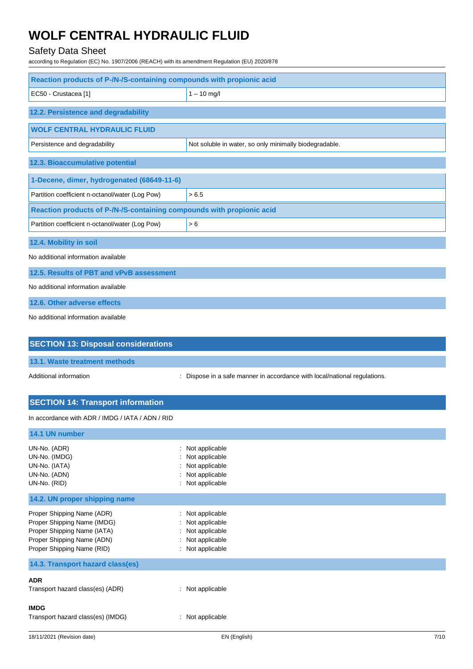# Safety Data Sheet

according to Regulation (EC) No. 1907/2006 (REACH) with its amendment Regulation (EU) 2020/878

| Reaction products of P-/N-/S-containing compounds with propionic acid          |                                                                                            |
|--------------------------------------------------------------------------------|--------------------------------------------------------------------------------------------|
| EC50 - Crustacea [1]                                                           | $1 - 10$ mg/l                                                                              |
| 12.2. Persistence and degradability                                            |                                                                                            |
| <b>WOLF CENTRAL HYDRAULIC FLUID</b>                                            |                                                                                            |
| Persistence and degradability                                                  | Not soluble in water, so only minimally biodegradable.                                     |
| 12.3. Bioaccumulative potential                                                |                                                                                            |
| 1-Decene, dimer, hydrogenated (68649-11-6)                                     |                                                                                            |
| Partition coefficient n-octanol/water (Log Pow)                                | > 6.5                                                                                      |
| Reaction products of P-/N-/S-containing compounds with propionic acid          |                                                                                            |
| Partition coefficient n-octanol/water (Log Pow)                                | > 6                                                                                        |
| 12.4. Mobility in soil                                                         |                                                                                            |
| No additional information available                                            |                                                                                            |
| 12.5. Results of PBT and vPvB assessment                                       |                                                                                            |
| No additional information available                                            |                                                                                            |
| 12.6. Other adverse effects                                                    |                                                                                            |
| No additional information available                                            |                                                                                            |
| <b>SECTION 13: Disposal considerations</b>                                     |                                                                                            |
| 13.1. Waste treatment methods                                                  |                                                                                            |
| Additional information                                                         | : Dispose in a safe manner in accordance with local/national regulations.                  |
| <b>SECTION 14: Transport information</b>                                       |                                                                                            |
| In accordance with ADR / IMDG / IATA / ADN / RID                               |                                                                                            |
| 14.1 UN number                                                                 |                                                                                            |
| UN-No. (ADR)<br>UN-No. (IMDG)<br>UN-No. (IATA)<br>UN-No. (ADN)<br>UN-No. (RID) | : Not applicable<br>Not applicable<br>Not applicable<br>Not applicable<br>: Not applicable |

**14.2. UN proper shipping name**

| Proper Shipping Name (ADR)  | : Not applicable |
|-----------------------------|------------------|
| Proper Shipping Name (IMDG) | : Not applicable |
| Proper Shipping Name (IATA) | : Not applicable |
| Proper Shipping Name (ADN)  | : Not applicable |
| Proper Shipping Name (RID)  | : Not applicable |
|                             |                  |

| 14.3. Transport hazard class(es)                 |                  |
|--------------------------------------------------|------------------|
| <b>ADR</b><br>Transport hazard class(es) (ADR)   | : Not applicable |
| <b>IMDG</b><br>Transport hazard class(es) (IMDG) | : Not applicable |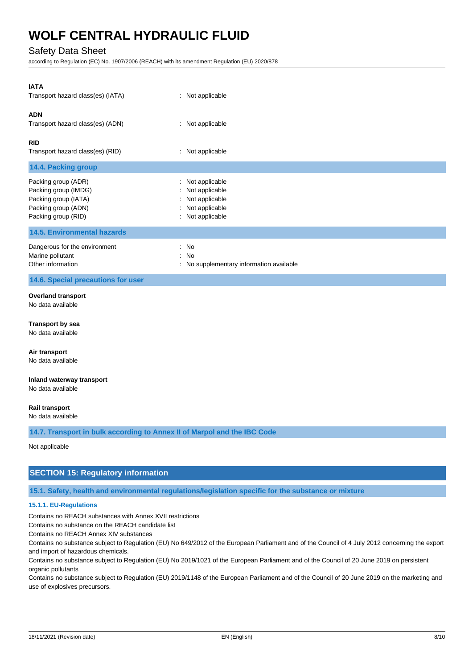## Safety Data Sheet

according to Regulation (EC) No. 1907/2006 (REACH) with its amendment Regulation (EU) 2020/878

| <b>IATA</b>                        |                                        |
|------------------------------------|----------------------------------------|
| Transport hazard class(es) (IATA)  | : Not applicable                       |
| <b>ADN</b>                         |                                        |
| Transport hazard class(es) (ADN)   | : Not applicable                       |
| <b>RID</b>                         |                                        |
| Transport hazard class(es) (RID)   | : Not applicable                       |
| 14.4. Packing group                |                                        |
| Packing group (ADR)                | : Not applicable                       |
| Packing group (IMDG)               | : Not applicable                       |
| Packing group (IATA)               | : Not applicable                       |
| Packing group (ADN)                | : Not applicable                       |
| Packing group (RID)                | : Not applicable                       |
| <b>14.5. Environmental hazards</b> |                                        |
| Dangerous for the environment      | : No                                   |
| Marine pollutant                   | : No                                   |
| Other information                  | No supplementary information available |

## **14.6. Special precautions for user**

#### **Overland transport** No data available

**Transport by sea**

No data available

**Air transport** No data available

# **Inland waterway transport**

No data available

#### **Rail transport**

No data available

**14.7. Transport in bulk according to Annex II of Marpol and the IBC Code**

Not applicable

## **SECTION 15: Regulatory information**

**15.1. Safety, health and environmental regulations/legislation specific for the substance or mixture**

### **15.1.1. EU-Regulations**

Contains no REACH substances with Annex XVII restrictions

Contains no substance on the REACH candidate list

Contains no REACH Annex XIV substances

Contains no substance subject to Regulation (EU) No 649/2012 of the European Parliament and of the Council of 4 July 2012 concerning the export and import of hazardous chemicals.

Contains no substance subject to Regulation (EU) No 2019/1021 of the European Parliament and of the Council of 20 June 2019 on persistent organic pollutants

Contains no substance subject to Regulation (EU) 2019/1148 of the European Parliament and of the Council of 20 June 2019 on the marketing and use of explosives precursors.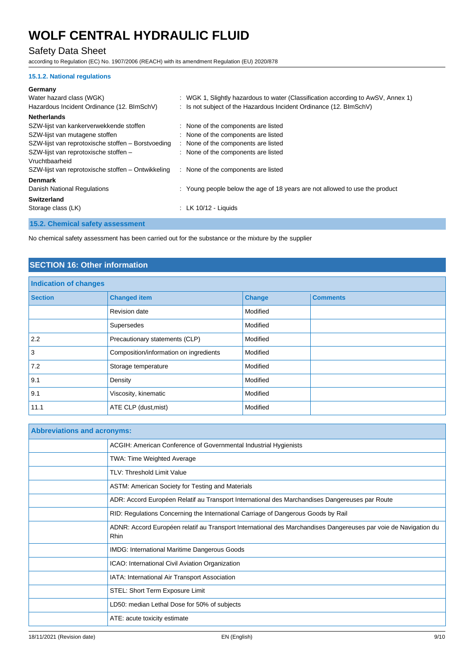# Safety Data Sheet

according to Regulation (EC) No. 1907/2006 (REACH) with its amendment Regulation (EU) 2020/878

### **15.1.2. National regulations**

#### **Germany**

| Water hazard class (WGK)                           | : WGK 1, Slightly hazardous to water (Classification according to AwSV, Annex 1) |
|----------------------------------------------------|----------------------------------------------------------------------------------|
|                                                    |                                                                                  |
| Hazardous Incident Ordinance (12. BImSchV)         | : Is not subject of the Hazardous Incident Ordinance (12. BImSchV)               |
| <b>Netherlands</b>                                 |                                                                                  |
| SZW-lijst van kankerverwekkende stoffen            | : None of the components are listed                                              |
| SZW-lijst van mutagene stoffen                     | : None of the components are listed                                              |
| SZW-lijst van reprotoxische stoffen – Borstvoeding | : None of the components are listed                                              |
| SZW-lijst van reprotoxische stoffen -              | : None of the components are listed                                              |
| Vruchtbaarheid                                     |                                                                                  |
| SZW-lijst van reprotoxische stoffen – Ontwikkeling | : None of the components are listed                                              |
| <b>Denmark</b>                                     |                                                                                  |
| Danish National Regulations                        | : Young people below the age of 18 years are not allowed to use the product      |
| <b>Switzerland</b>                                 |                                                                                  |
| Storage class (LK)                                 | : LK $10/12$ - Liquids                                                           |
|                                                    |                                                                                  |

**15.2. Chemical safety assessment**

No chemical safety assessment has been carried out for the substance or the mixture by the supplier

# **SECTION 16: Other information**

| <b>Indication of changes</b> |                                        |               |                 |
|------------------------------|----------------------------------------|---------------|-----------------|
| <b>Section</b>               | <b>Changed item</b>                    | <b>Change</b> | <b>Comments</b> |
|                              | <b>Revision date</b>                   | Modified      |                 |
|                              | Supersedes                             | Modified      |                 |
| 2.2                          | Precautionary statements (CLP)         | Modified      |                 |
| 3                            | Composition/information on ingredients | Modified      |                 |
| 7.2                          | Storage temperature                    | Modified      |                 |
| 9.1                          | Density                                | Modified      |                 |
| 9.1                          | Viscosity, kinematic                   | Modified      |                 |
| 11.1                         | ATE CLP (dust, mist)                   | Modified      |                 |

| <b>Abbreviations and acronyms:</b> |                                                                                                                         |  |
|------------------------------------|-------------------------------------------------------------------------------------------------------------------------|--|
|                                    | ACGIH: American Conference of Governmental Industrial Hygienists                                                        |  |
|                                    | <b>TWA: Time Weighted Average</b>                                                                                       |  |
|                                    | <b>TLV: Threshold Limit Value</b>                                                                                       |  |
|                                    | ASTM: American Society for Testing and Materials                                                                        |  |
|                                    | ADR: Accord Européen Relatif au Transport International des Marchandises Dangereuses par Route                          |  |
|                                    | RID: Regulations Concerning the International Carriage of Dangerous Goods by Rail                                       |  |
|                                    | ADNR: Accord Européen relatif au Transport International des Marchandises Dangereuses par voie de Navigation du<br>Rhin |  |
|                                    | <b>IMDG: International Maritime Dangerous Goods</b>                                                                     |  |
|                                    | ICAO: International Civil Aviation Organization                                                                         |  |
|                                    | IATA: International Air Transport Association                                                                           |  |
|                                    | STEL: Short Term Exposure Limit                                                                                         |  |
|                                    | LD50: median Lethal Dose for 50% of subjects                                                                            |  |
|                                    | ATE: acute toxicity estimate                                                                                            |  |